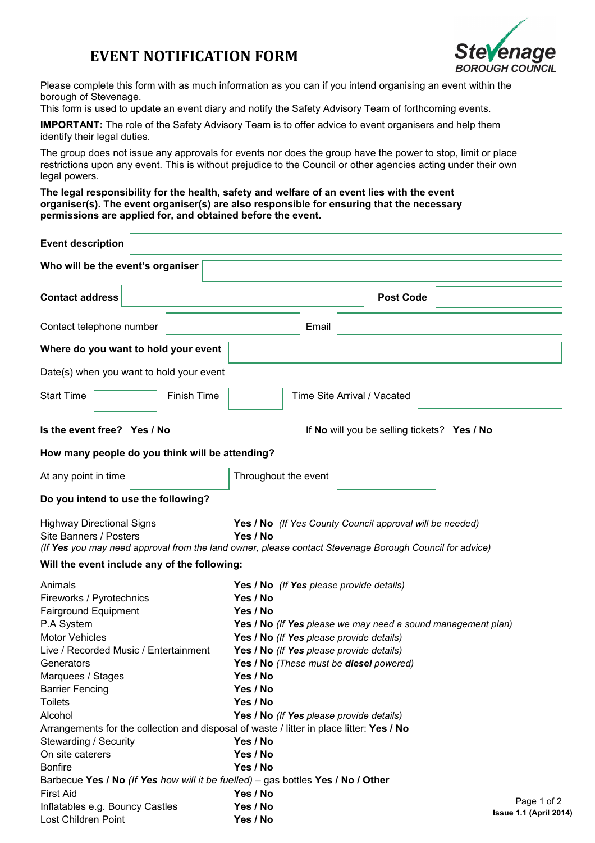# **EVENT NOTIFICATION FORM**



Please complete this form with as much information as you can if you intend organising an event within the borough of Stevenage.

This form is used to update an event diary and notify the Safety Advisory Team of forthcoming events.

**IMPORTANT:** The role of the Safety Advisory Team is to offer advice to event organisers and help them identify their legal duties.

The group does not issue any approvals for events nor does the group have the power to stop, limit or place restrictions upon any event. This is without prejudice to the Council or other agencies acting under their own legal powers.

**The legal responsibility for the health, safety and welfare of an event lies with the event organiser(s). The event organiser(s) are also responsible for ensuring that the necessary permissions are applied for, and obtained before the event.**

| <b>Event description</b>                                                                                                                                                                                                                                                                                                                                                                                |  |                    |  |                                                                                                                                                                                                                                  |  |                  |  |                                                                                     |  |                                                              |  |
|---------------------------------------------------------------------------------------------------------------------------------------------------------------------------------------------------------------------------------------------------------------------------------------------------------------------------------------------------------------------------------------------------------|--|--------------------|--|----------------------------------------------------------------------------------------------------------------------------------------------------------------------------------------------------------------------------------|--|------------------|--|-------------------------------------------------------------------------------------|--|--------------------------------------------------------------|--|
| Who will be the event's organiser                                                                                                                                                                                                                                                                                                                                                                       |  |                    |  |                                                                                                                                                                                                                                  |  |                  |  |                                                                                     |  |                                                              |  |
| <b>Contact address</b>                                                                                                                                                                                                                                                                                                                                                                                  |  |                    |  |                                                                                                                                                                                                                                  |  | <b>Post Code</b> |  |                                                                                     |  |                                                              |  |
| Contact telephone number                                                                                                                                                                                                                                                                                                                                                                                |  |                    |  |                                                                                                                                                                                                                                  |  | Email            |  |                                                                                     |  |                                                              |  |
| Where do you want to hold your event                                                                                                                                                                                                                                                                                                                                                                    |  |                    |  |                                                                                                                                                                                                                                  |  |                  |  |                                                                                     |  |                                                              |  |
| Date(s) when you want to hold your event                                                                                                                                                                                                                                                                                                                                                                |  |                    |  |                                                                                                                                                                                                                                  |  |                  |  |                                                                                     |  |                                                              |  |
| <b>Start Time</b>                                                                                                                                                                                                                                                                                                                                                                                       |  | <b>Finish Time</b> |  |                                                                                                                                                                                                                                  |  |                  |  | Time Site Arrival / Vacated                                                         |  |                                                              |  |
| Is the event free? Yes / No                                                                                                                                                                                                                                                                                                                                                                             |  |                    |  |                                                                                                                                                                                                                                  |  |                  |  |                                                                                     |  | If No will you be selling tickets? Yes / No                  |  |
| How many people do you think will be attending?                                                                                                                                                                                                                                                                                                                                                         |  |                    |  |                                                                                                                                                                                                                                  |  |                  |  |                                                                                     |  |                                                              |  |
| At any point in time                                                                                                                                                                                                                                                                                                                                                                                    |  |                    |  | Throughout the event                                                                                                                                                                                                             |  |                  |  |                                                                                     |  |                                                              |  |
| Do you intend to use the following?                                                                                                                                                                                                                                                                                                                                                                     |  |                    |  |                                                                                                                                                                                                                                  |  |                  |  |                                                                                     |  |                                                              |  |
| <b>Highway Directional Signs</b><br>Site Banners / Posters                                                                                                                                                                                                                                                                                                                                              |  |                    |  | Yes / No (If Yes County Council approval will be needed)<br>Yes / No<br>(If Yes you may need approval from the land owner, please contact Stevenage Borough Council for advice)                                                  |  |                  |  |                                                                                     |  |                                                              |  |
| Will the event include any of the following:                                                                                                                                                                                                                                                                                                                                                            |  |                    |  |                                                                                                                                                                                                                                  |  |                  |  |                                                                                     |  |                                                              |  |
| Animals<br>Fireworks / Pyrotechnics<br><b>Fairground Equipment</b><br>P.A System<br><b>Motor Vehicles</b><br>Live / Recorded Music / Entertainment<br>Generators<br>Marquees / Stages<br><b>Barrier Fencing</b><br><b>Toilets</b><br>Alcohol<br>Arrangements for the collection and disposal of waste / litter in place litter: Yes / No<br>Stewarding / Security<br>On site caterers<br><b>Bonfire</b> |  |                    |  | Yes / No<br>Yes / No<br>Yes / No (If Yes please provide details)<br>Yes / No (If Yes please provide details)<br>Yes / No<br>Yes / No<br>Yes / No<br>Yes / No (If Yes please provide details)<br>Yes / No<br>Yes / No<br>Yes / No |  |                  |  | Yes / No (If Yes please provide details)<br>Yes / No (These must be diesel powered) |  | Yes / No (If Yes please we may need a sound management plan) |  |
| Barbecue Yes / No (If Yes how will it be fuelled) - gas bottles Yes / No / Other                                                                                                                                                                                                                                                                                                                        |  |                    |  |                                                                                                                                                                                                                                  |  |                  |  |                                                                                     |  |                                                              |  |
| <b>First Aid</b><br>Inflatables e.g. Bouncy Castles<br>Lost Children Point                                                                                                                                                                                                                                                                                                                              |  |                    |  | Yes / No<br>Yes / No<br>Yes / No                                                                                                                                                                                                 |  |                  |  |                                                                                     |  | Page 1 of 2<br><b>Issue 1.1 (April 2014)</b>                 |  |